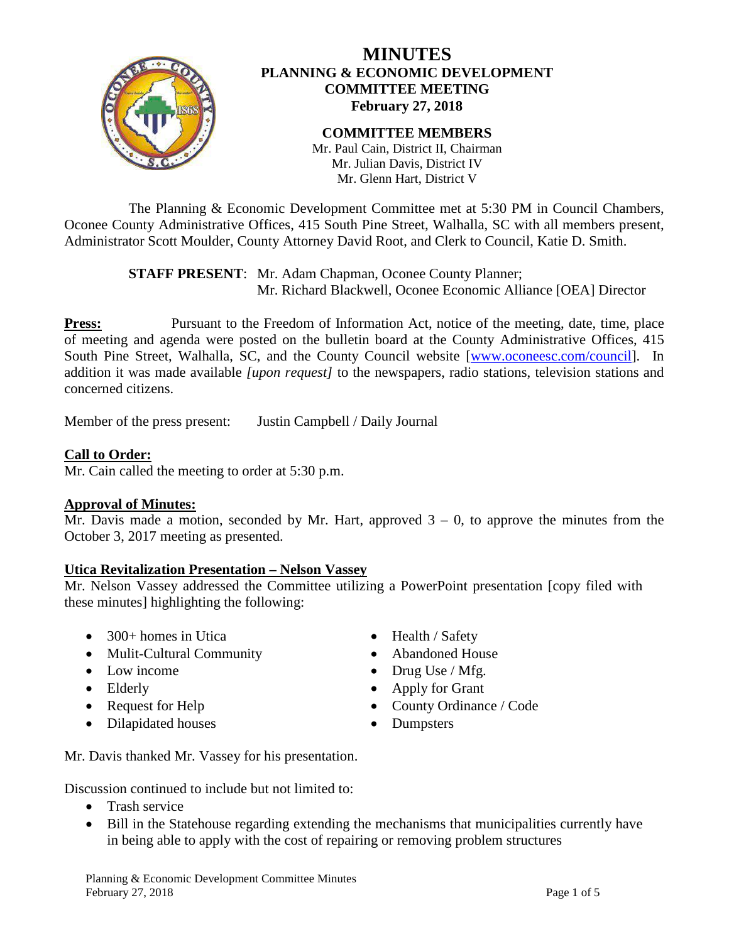

## **MINUTES PLANNING & ECONOMIC DEVELOPMENT COMMITTEE MEETING February 27, 2018**

#### **COMMITTEE MEMBERS** Mr. Paul Cain, District II, Chairman

Mr. Julian Davis, District IV Mr. Glenn Hart, District V

The Planning & Economic Development Committee met at 5:30 PM in Council Chambers, Oconee County Administrative Offices, 415 South Pine Street, Walhalla, SC with all members present, Administrator Scott Moulder, County Attorney David Root, and Clerk to Council, Katie D. Smith.

> **STAFF PRESENT**: Mr. Adam Chapman, Oconee County Planner; Mr. Richard Blackwell, Oconee Economic Alliance [OEA] Director

**Press:** Pursuant to the Freedom of Information Act, notice of the meeting, date, time, place of meeting and agenda were posted on the bulletin board at the County Administrative Offices, 415 South Pine Street, Walhalla, SC, and the County Council website [\[www.oconeesc.com/council\]](http://www.oconeesc.com/council). In addition it was made available *[upon request]* to the newspapers, radio stations, television stations and concerned citizens.

Member of the press present: Justin Campbell / Daily Journal

## **Call to Order:**

Mr. Cain called the meeting to order at 5:30 p.m.

## **Approval of Minutes:**

Mr. Davis made a motion, seconded by Mr. Hart, approved  $3 - 0$ , to approve the minutes from the October 3, 2017 meeting as presented.

## **Utica Revitalization Presentation – Nelson Vassey**

Mr. Nelson Vassey addressed the Committee utilizing a PowerPoint presentation [copy filed with these minutes] highlighting the following:

- 300+ homes in Utica Health / Safety
- Mulit-Cultural Community Abandoned House
- 
- 
- 
- Dilapidated houses Dumpsters
- 
- 
- Low income Drug Use / Mfg.
- Elderly Apply for Grant
- Request for Help County Ordinance / Code
	-

Mr. Davis thanked Mr. Vassey for his presentation.

Discussion continued to include but not limited to:

- Trash service
- Bill in the Statehouse regarding extending the mechanisms that municipalities currently have in being able to apply with the cost of repairing or removing problem structures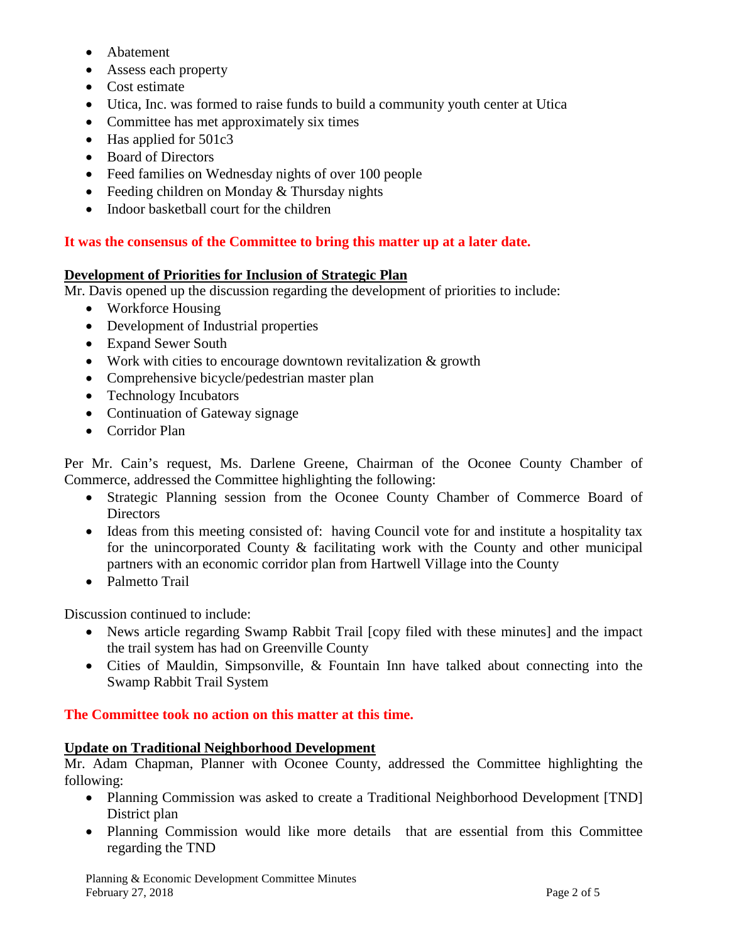- Abatement
- Assess each property
- Cost estimate
- Utica, Inc. was formed to raise funds to build a community youth center at Utica
- Committee has met approximately six times
- Has applied for 501c3
- Board of Directors
- Feed families on Wednesday nights of over 100 people
- Feeding children on Monday & Thursday nights
- Indoor basketball court for the children

## **It was the consensus of the Committee to bring this matter up at a later date.**

### **Development of Priorities for Inclusion of Strategic Plan**

Mr. Davis opened up the discussion regarding the development of priorities to include:

- Workforce Housing
- Development of Industrial properties
- Expand Sewer South
- Work with cities to encourage downtown revitalization & growth
- Comprehensive bicycle/pedestrian master plan
- Technology Incubators
- Continuation of Gateway signage
- Corridor Plan

Per Mr. Cain's request, Ms. Darlene Greene, Chairman of the Oconee County Chamber of Commerce, addressed the Committee highlighting the following:

- Strategic Planning session from the Oconee County Chamber of Commerce Board of **Directors**
- Ideas from this meeting consisted of: having Council vote for and institute a hospitality tax for the unincorporated County & facilitating work with the County and other municipal partners with an economic corridor plan from Hartwell Village into the County
- Palmetto Trail

Discussion continued to include:

- News article regarding Swamp Rabbit Trail [copy filed with these minutes] and the impact the trail system has had on Greenville County
- Cities of Mauldin, Simpsonville, & Fountain Inn have talked about connecting into the Swamp Rabbit Trail System

## **The Committee took no action on this matter at this time.**

# **Update on Traditional Neighborhood Development**

Mr. Adam Chapman, Planner with Oconee County, addressed the Committee highlighting the following:

- Planning Commission was asked to create a Traditional Neighborhood Development [TND] District plan
- Planning Commission would like more details that are essential from this Committee regarding the TND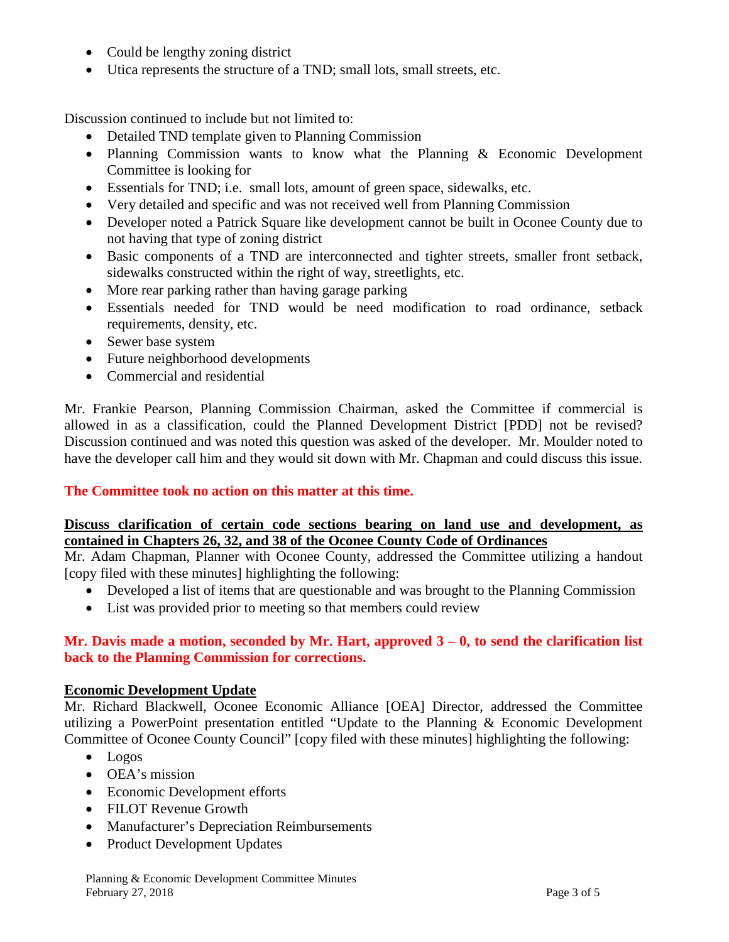- Could be lengthy zoning district
- Utica represents the structure of a TND; small lots, small streets, etc.

Discussion continued to include but not limited to:

- Detailed TND template given to Planning Commission
- Planning Commission wants to know what the Planning & Economic Development Committee is looking for
- Essentials for TND; i.e. small lots, amount of green space, sidewalks, etc.
- Very detailed and specific and was not received well from Planning Commission
- Developer noted a Patrick Square like development cannot be built in Oconee County due to not having that type of zoning district
- Basic components of a TND are interconnected and tighter streets, smaller front setback, sidewalks constructed within the right of way, streetlights, etc.
- More rear parking rather than having garage parking
- Essentials needed for TND would be need modification to road ordinance, setback requirements, density, etc.
- Sewer base system
- Future neighborhood developments
- Commercial and residential

Mr. Frankie Pearson, Planning Commission Chairman, asked the Committee if commercial is allowed in as a classification, could the Planned Development District [PDD] not be revised? Discussion continued and was noted this question was asked of the developer. Mr. Moulder noted to have the developer call him and they would sit down with Mr. Chapman and could discuss this issue.

## **The Committee took no action on this matter at this time.**

### **Discuss clarification of certain code sections bearing on land use and development, as contained in Chapters 26, 32, and 38 of the Oconee County Code of Ordinances**

Mr. Adam Chapman, Planner with Oconee County, addressed the Committee utilizing a handout [copy filed with these minutes] highlighting the following:

- Developed a list of items that are questionable and was brought to the Planning Commission
- List was provided prior to meeting so that members could review

### **Mr. Davis made a motion, seconded by Mr. Hart, approved 3 – 0, to send the clarification list back to the Planning Commission for corrections.**

## **Economic Development Update**

Mr. Richard Blackwell, Oconee Economic Alliance [OEA] Director, addressed the Committee utilizing a PowerPoint presentation entitled "Update to the Planning & Economic Development Committee of Oconee County Council" [copy filed with these minutes] highlighting the following:

- Logos
- OEA's mission
- Economic Development efforts
- FILOT Revenue Growth
- Manufacturer's Depreciation Reimbursements
- Product Development Updates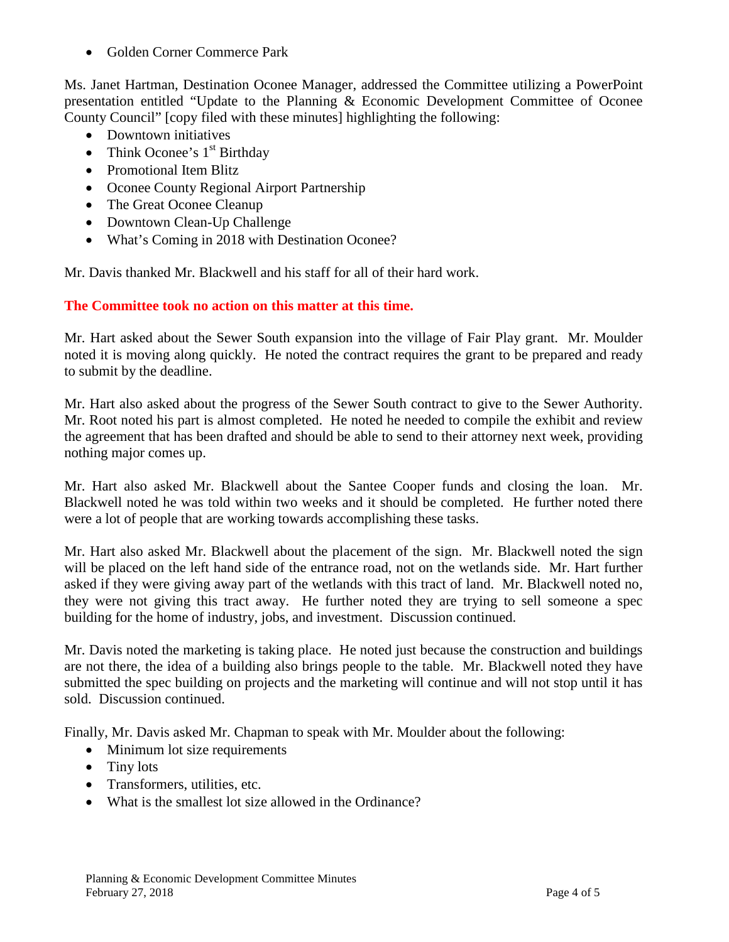• Golden Corner Commerce Park

Ms. Janet Hartman, Destination Oconee Manager, addressed the Committee utilizing a PowerPoint presentation entitled "Update to the Planning & Economic Development Committee of Oconee County Council" [copy filed with these minutes] highlighting the following:

- Downtown initiatives
- Think Oconee's  $1<sup>st</sup>$  Birthday
- Promotional Item Blitz
- Oconee County Regional Airport Partnership
- The Great Oconee Cleanup
- Downtown Clean-Up Challenge
- What's Coming in 2018 with Destination Oconee?

Mr. Davis thanked Mr. Blackwell and his staff for all of their hard work.

**The Committee took no action on this matter at this time.** 

Mr. Hart asked about the Sewer South expansion into the village of Fair Play grant. Mr. Moulder noted it is moving along quickly. He noted the contract requires the grant to be prepared and ready to submit by the deadline.

Mr. Hart also asked about the progress of the Sewer South contract to give to the Sewer Authority. Mr. Root noted his part is almost completed. He noted he needed to compile the exhibit and review the agreement that has been drafted and should be able to send to their attorney next week, providing nothing major comes up.

Mr. Hart also asked Mr. Blackwell about the Santee Cooper funds and closing the loan. Mr. Blackwell noted he was told within two weeks and it should be completed. He further noted there were a lot of people that are working towards accomplishing these tasks.

Mr. Hart also asked Mr. Blackwell about the placement of the sign. Mr. Blackwell noted the sign will be placed on the left hand side of the entrance road, not on the wetlands side. Mr. Hart further asked if they were giving away part of the wetlands with this tract of land. Mr. Blackwell noted no, they were not giving this tract away. He further noted they are trying to sell someone a spec building for the home of industry, jobs, and investment. Discussion continued.

Mr. Davis noted the marketing is taking place. He noted just because the construction and buildings are not there, the idea of a building also brings people to the table. Mr. Blackwell noted they have submitted the spec building on projects and the marketing will continue and will not stop until it has sold. Discussion continued.

Finally, Mr. Davis asked Mr. Chapman to speak with Mr. Moulder about the following:

- Minimum lot size requirements
- Tiny lots
- Transformers, utilities, etc.
- What is the smallest lot size allowed in the Ordinance?